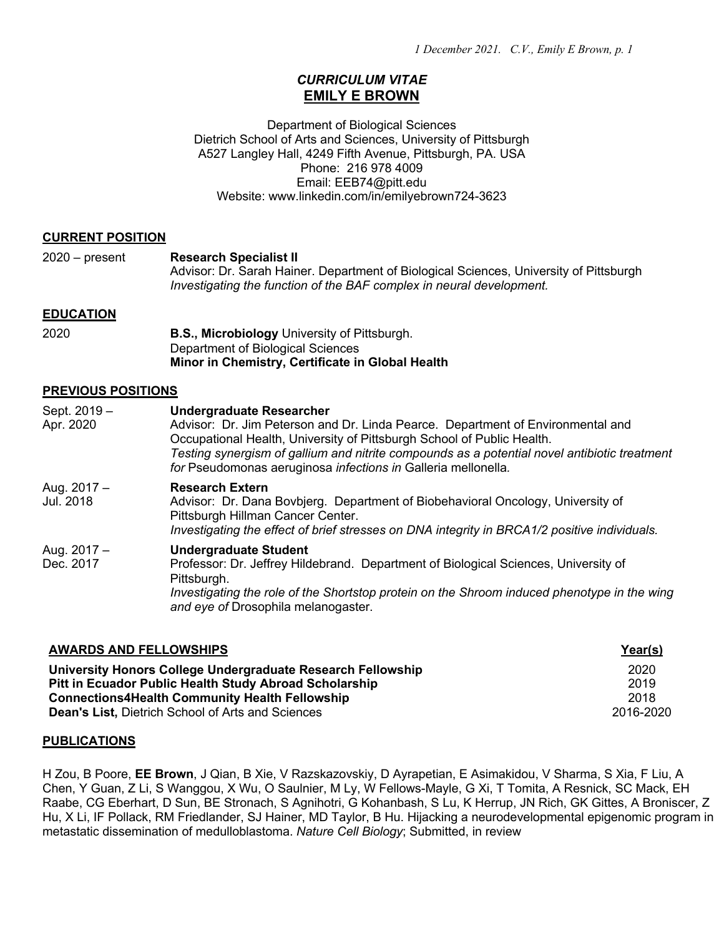# *CURRICULUM VITAE* **EMILY E BROWN**

Department of Biological Sciences Dietrich School of Arts and Sciences, University of Pittsburgh A527 Langley Hall, 4249 Fifth Avenue, Pittsburgh, PA. USA Phone: 216 978 4009 Email: EEB74@pitt.edu Website: www.linkedin.com/in/emilyebrown724-3623

#### **CURRENT POSITION**

| $2020 - present$           | <b>Research Specialist II</b><br>Advisor: Dr. Sarah Hainer. Department of Biological Sciences, University of Pittsburgh<br>Investigating the function of the BAF complex in neural development.                                                                                                                                                               |  |  |  |
|----------------------------|---------------------------------------------------------------------------------------------------------------------------------------------------------------------------------------------------------------------------------------------------------------------------------------------------------------------------------------------------------------|--|--|--|
| <b>EDUCATION</b>           |                                                                                                                                                                                                                                                                                                                                                               |  |  |  |
| 2020                       | <b>B.S., Microbiology</b> University of Pittsburgh.<br>Department of Biological Sciences<br>Minor in Chemistry, Certificate in Global Health                                                                                                                                                                                                                  |  |  |  |
| <b>PREVIOUS POSITIONS</b>  |                                                                                                                                                                                                                                                                                                                                                               |  |  |  |
| Sept. 2019 -<br>Apr. 2020  | <b>Undergraduate Researcher</b><br>Advisor: Dr. Jim Peterson and Dr. Linda Pearce. Department of Environmental and<br>Occupational Health, University of Pittsburgh School of Public Health.<br>Testing synergism of gallium and nitrite compounds as a potential novel antibiotic treatment<br>for Pseudomonas aeruginosa infections in Galleria mellonella. |  |  |  |
| Aug. $2017 -$<br>Jul. 2018 | <b>Research Extern</b><br>Advisor: Dr. Dana Bovbjerg. Department of Biobehavioral Oncology, University of<br>Pittsburgh Hillman Cancer Center.<br>Investigating the effect of brief stresses on DNA integrity in BRCA1/2 positive individuals.                                                                                                                |  |  |  |
| Aug. 2017 -<br>Dec. 2017   | <b>Undergraduate Student</b><br>Professor: Dr. Jeffrey Hildebrand. Department of Biological Sciences, University of<br>Pittsburgh.<br>Investigating the role of the Shortstop protein on the Shroom induced phenotype in the wing<br>and eye of Drosophila melanogaster.                                                                                      |  |  |  |

| <b>AWARDS AND FELLOWSHIPS</b>                               | Year(s)   |
|-------------------------------------------------------------|-----------|
| University Honors College Undergraduate Research Fellowship | 2020      |
| Pitt in Ecuador Public Health Study Abroad Scholarship      | 2019      |
| <b>Connections4Health Community Health Fellowship</b>       | 2018      |
| <b>Dean's List, Dietrich School of Arts and Sciences</b>    | 2016-2020 |

#### **PUBLICATIONS**

H Zou, B Poore, **EE Brown**, J Qian, B Xie, V Razskazovskiy, D Ayrapetian, E Asimakidou, V Sharma, S Xia, F Liu, A Chen, Y Guan, Z Li, S Wanggou, X Wu, O Saulnier, M Ly, W Fellows-Mayle, G Xi, T Tomita, A Resnick, SC Mack, EH Raabe, CG Eberhart, D Sun, BE Stronach, S Agnihotri, G Kohanbash, S Lu, K Herrup, JN Rich, GK Gittes, A Broniscer, Z Hu, X Li, IF Pollack, RM Friedlander, SJ Hainer, MD Taylor, B Hu. Hijacking a neurodevelopmental epigenomic program in metastatic dissemination of medulloblastoma. *Nature Cell Biology*; Submitted, in review